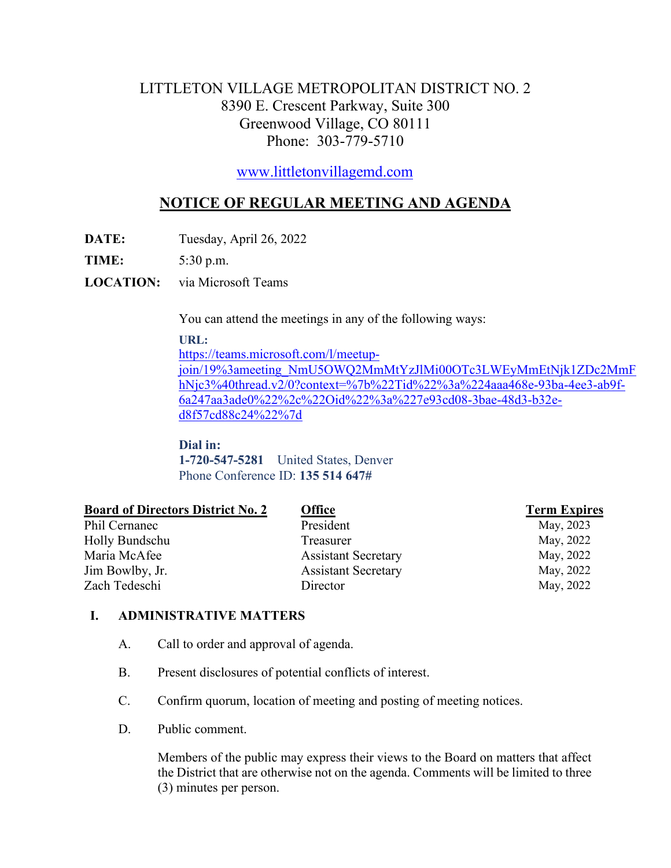# LITTLETON VILLAGE METROPOLITAN DISTRICT NO. 2 8390 E. Crescent Parkway, Suite 300 Greenwood Village, CO 80111 Phone: 303-779-5710

[www.littletonvillagemd.com](http://www.littletonvillagemd.com/)

# **NOTICE OF REGULAR MEETING AND AGENDA**

**DATE:** Tuesday, April 26, 2022

**TIME:** 5:30 p.m.

**LOCATION:** via Microsoft Teams

You can attend the meetings in any of the following ways:

#### **URL:**

[https://teams.microsoft.com/l/meetup-](https://teams.microsoft.com/l/meetup-join/19%3ameeting_NmU5OWQ2MmMtYzJlMi00OTc3LWEyMmEtNjk1ZDc2MmFhNjc3%40thread.v2/0?context=%7b%22Tid%22%3a%224aaa468e-93ba-4ee3-ab9f-6a247aa3ade0%22%2c%22Oid%22%3a%227e93cd08-3bae-48d3-b32e-d8f57cd88c24%22%7d)

[join/19%3ameeting\\_NmU5OWQ2MmMtYzJlMi00OTc3LWEyMmEtNjk1ZDc2MmF](https://teams.microsoft.com/l/meetup-join/19%3ameeting_NmU5OWQ2MmMtYzJlMi00OTc3LWEyMmEtNjk1ZDc2MmFhNjc3%40thread.v2/0?context=%7b%22Tid%22%3a%224aaa468e-93ba-4ee3-ab9f-6a247aa3ade0%22%2c%22Oid%22%3a%227e93cd08-3bae-48d3-b32e-d8f57cd88c24%22%7d) [hNjc3%40thread.v2/0?context=%7b%22Tid%22%3a%224aaa468e-93ba-4ee3-ab9f-](https://teams.microsoft.com/l/meetup-join/19%3ameeting_NmU5OWQ2MmMtYzJlMi00OTc3LWEyMmEtNjk1ZDc2MmFhNjc3%40thread.v2/0?context=%7b%22Tid%22%3a%224aaa468e-93ba-4ee3-ab9f-6a247aa3ade0%22%2c%22Oid%22%3a%227e93cd08-3bae-48d3-b32e-d8f57cd88c24%22%7d)[6a247aa3ade0%22%2c%22Oid%22%3a%227e93cd08-3bae-48d3-b32e](https://teams.microsoft.com/l/meetup-join/19%3ameeting_NmU5OWQ2MmMtYzJlMi00OTc3LWEyMmEtNjk1ZDc2MmFhNjc3%40thread.v2/0?context=%7b%22Tid%22%3a%224aaa468e-93ba-4ee3-ab9f-6a247aa3ade0%22%2c%22Oid%22%3a%227e93cd08-3bae-48d3-b32e-d8f57cd88c24%22%7d)[d8f57cd88c24%22%7d](https://teams.microsoft.com/l/meetup-join/19%3ameeting_NmU5OWQ2MmMtYzJlMi00OTc3LWEyMmEtNjk1ZDc2MmFhNjc3%40thread.v2/0?context=%7b%22Tid%22%3a%224aaa468e-93ba-4ee3-ab9f-6a247aa3ade0%22%2c%22Oid%22%3a%227e93cd08-3bae-48d3-b32e-d8f57cd88c24%22%7d)

**Dial in: 1-720-547-5281** United States, Denver Phone Conference ID: **135 514 647#**

| <b>Office</b>              | <b>Term Expires</b> |
|----------------------------|---------------------|
| President                  | May, 2023           |
| Treasurer                  | May, 2022           |
| <b>Assistant Secretary</b> | May, 2022           |
| <b>Assistant Secretary</b> | May, 2022           |
| Director                   | May, 2022           |
|                            |                     |

### **I. ADMINISTRATIVE MATTERS**

- A. Call to order and approval of agenda.
- B. Present disclosures of potential conflicts of interest.
- C. Confirm quorum, location of meeting and posting of meeting notices.
- D. Public comment.

Members of the public may express their views to the Board on matters that affect the District that are otherwise not on the agenda. Comments will be limited to three (3) minutes per person.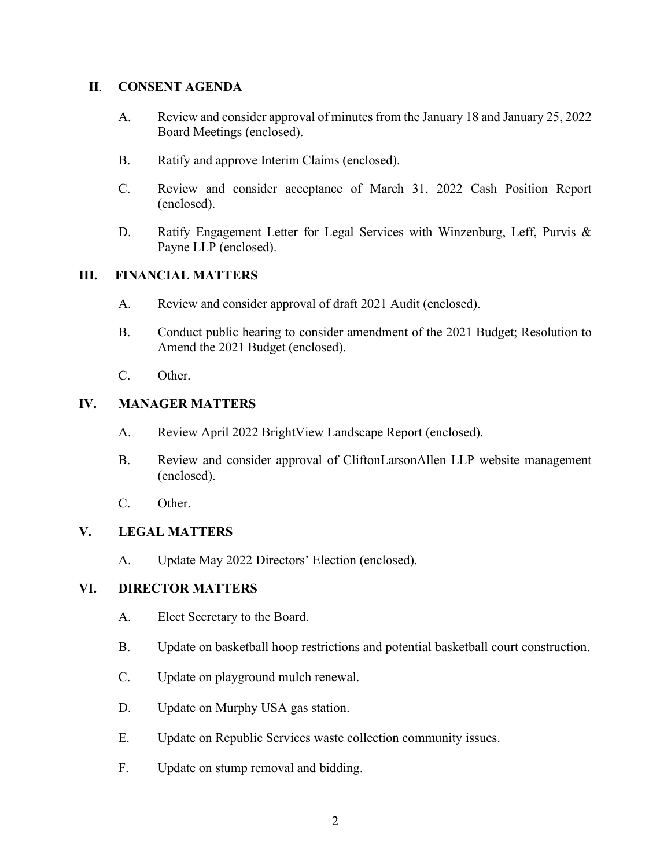#### **II**. **CONSENT AGENDA**

- A. Review and consider approval of minutes from the January 18 and January 25, 2022 Board Meetings (enclosed).
- B. Ratify and approve Interim Claims (enclosed).
- C. Review and consider acceptance of March 31, 2022 Cash Position Report (enclosed).
- D. Ratify Engagement Letter for Legal Services with Winzenburg, Leff, Purvis & Payne LLP (enclosed).

#### **III. FINANCIAL MATTERS**

- A. Review and consider approval of draft 2021 Audit (enclosed).
- B. Conduct public hearing to consider amendment of the 2021 Budget; Resolution to Amend the 2021 Budget (enclosed).
- C. Other.

#### **IV. MANAGER MATTERS**

- A. Review April 2022 BrightView Landscape Report (enclosed).
- B. Review and consider approval of CliftonLarsonAllen LLP website management (enclosed).
- C. Other.

### **V. LEGAL MATTERS**

A. Update May 2022 Directors' Election (enclosed).

### **VI. DIRECTOR MATTERS**

- A. Elect Secretary to the Board.
- B. Update on basketball hoop restrictions and potential basketball court construction.
- C. Update on playground mulch renewal.
- D. Update on Murphy USA gas station.
- E. Update on Republic Services waste collection community issues.
- F. Update on stump removal and bidding.